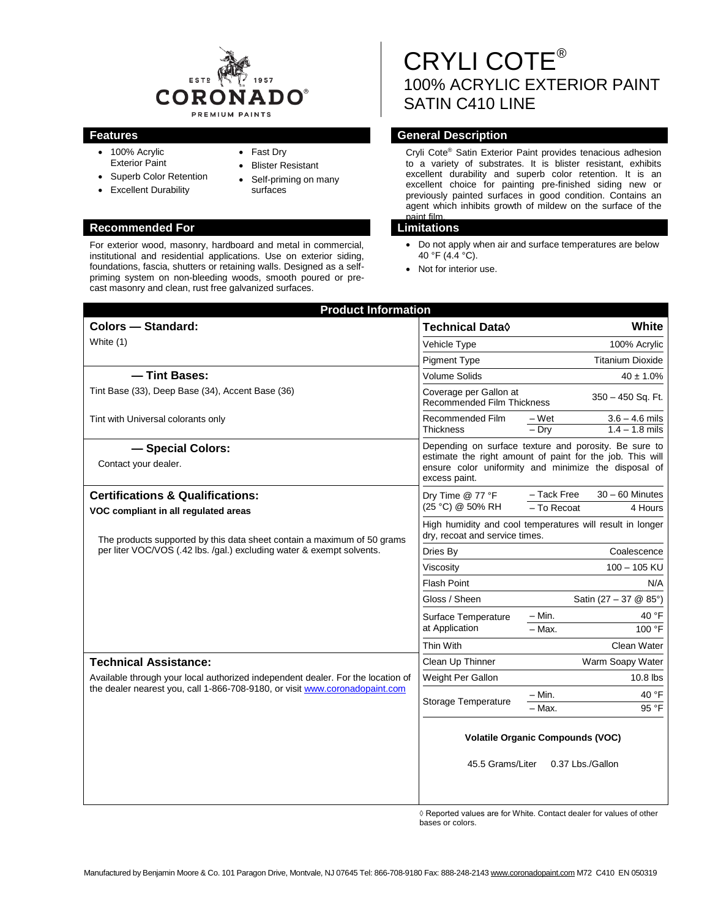

- 100% Acrylic Exterior Paint
- Superb Color Retention
- Excellent Durability
- Fast Dry
- Blister Resistant
- Self-priming on many surfaces

# **Recommended For Limitations**

For exterior wood, masonry, hardboard and metal in commercial, institutional and residential applications. Use on exterior siding, foundations, fascia, shutters or retaining walls. Designed as a selfpriming system on non-bleeding woods, smooth poured or precast masonry and clean, rust free galvanized surfaces.

# CRYLI COTE® 100% ACRYLIC EXTERIOR PAINT SATIN C410 LINE

# **Features General Description**

Cryli Cote® Satin Exterior Paint provides tenacious adhesion to a variety of substrates. It is blister resistant, exhibits excellent durability and superb color retention. It is an excellent choice for painting pre-finished siding new or previously painted surfaces in good condition. Contains an agent which inhibits growth of mildew on the surface of the paint film.

- Do not apply when air and surface temperatures are below 40 °F (4.4 °C).
- Not for interior use.

| <b>Product Information</b>                                                                                                                                                                  |                            |                                      |  |
|---------------------------------------------------------------------------------------------------------------------------------------------------------------------------------------------|----------------------------|--------------------------------------|--|
| Technical Data $\Diamond$                                                                                                                                                                   |                            | White                                |  |
| Vehicle Type                                                                                                                                                                                |                            | 100% Acrylic                         |  |
| <b>Pigment Type</b>                                                                                                                                                                         |                            | <b>Titanium Dioxide</b>              |  |
| <b>Volume Solids</b>                                                                                                                                                                        |                            | $40 \pm 1.0\%$                       |  |
| Coverage per Gallon at<br>350 - 450 Sq. Ft.<br><b>Recommended Film Thickness</b>                                                                                                            |                            |                                      |  |
| Recommended Film<br><b>Thickness</b>                                                                                                                                                        | – Wet<br>$-$ Dry           | $3.6 - 4.6$ mils<br>$1.4 - 1.8$ mils |  |
| Depending on surface texture and porosity. Be sure to<br>estimate the right amount of paint for the job. This will<br>ensure color uniformity and minimize the disposal of<br>excess paint. |                            |                                      |  |
| Dry Time @ 77 °F<br>(25 °C) @ 50% RH                                                                                                                                                        | - Tack Free<br>- To Recoat | $30 - 60$ Minutes<br>4 Hours         |  |
| High humidity and cool temperatures will result in longer<br>dry, recoat and service times.                                                                                                 |                            |                                      |  |
| Dries By                                                                                                                                                                                    | Coalescence                |                                      |  |
| Viscosity                                                                                                                                                                                   |                            | $100 - 105$ KU                       |  |
| <b>Flash Point</b>                                                                                                                                                                          |                            | N/A                                  |  |
| Gloss / Sheen                                                                                                                                                                               |                            | Satin (27 - 37 @ 85°)                |  |
| Surface Temperature                                                                                                                                                                         | $-$ Min.                   | 40 °F                                |  |
| at Application                                                                                                                                                                              | $-$ Max.                   | 100 °F                               |  |
| Thin With                                                                                                                                                                                   |                            | Clean Water                          |  |
| Clean Up Thinner                                                                                                                                                                            |                            | Warm Soapy Water                     |  |
| Weight Per Gallon                                                                                                                                                                           |                            | $10.8$ lbs                           |  |
| <b>Storage Temperature</b>                                                                                                                                                                  | $-$ Min.                   | 40 °F                                |  |
|                                                                                                                                                                                             | - Max.                     | 95 °F                                |  |
| <b>Volatile Organic Compounds (VOC)</b><br>45.5 Grams/Liter<br>0.37 Lbs./Gallon                                                                                                             |                            |                                      |  |
|                                                                                                                                                                                             |                            |                                      |  |

◊ Reported values are for White. Contact dealer for values of other bases or colors.